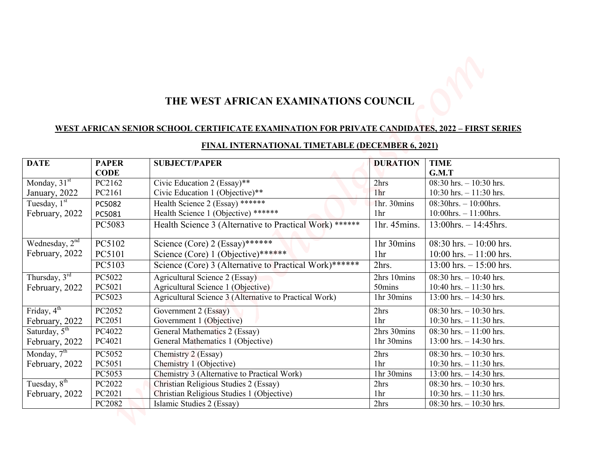# **THE WEST AFRICAN EXAMINATIONS COUNCIL**

## **WEST AFRICAN SENIOR SCHOOL CERTIFICATE EXAMINATION FOR PRIVATE CANDIDATES, 2022 – FIRST SERIES**

|                                                                                                                                                                                                                                     |                  | <u>WEST AFRICAN SENIOR SCHOOL CERTIFICATE EXAMINATION FOR PRIVATE CANDIDATES, 2022 – FIRST SERIES</u> | THE WEST AFRICAN EXAMINATIONS COUNCIL |                                                          |  |
|-------------------------------------------------------------------------------------------------------------------------------------------------------------------------------------------------------------------------------------|------------------|-------------------------------------------------------------------------------------------------------|---------------------------------------|----------------------------------------------------------|--|
| <b>DATE</b>                                                                                                                                                                                                                         | <b>PAPER</b>     | <b>FINAL INTERNATIONAL TIMETABLE (DECEMBER 6, 2021)</b><br><b>SUBJECT/PAPER</b>                       | <b>DURATION</b>                       | <b>TIME</b>                                              |  |
|                                                                                                                                                                                                                                     | <b>CODE</b>      |                                                                                                       |                                       | G.M.T                                                    |  |
| Monday, 31 <sup>st</sup>                                                                                                                                                                                                            | PC2162           | Civic Education 2 (Essay)**                                                                           | 2hrs                                  | 08:30 hrs. $-10:30$ hrs.                                 |  |
| January, 2022                                                                                                                                                                                                                       | PC2161           | Civic Education 1 (Objective)**                                                                       | 1 <sub>hr</sub>                       | $10:30$ hrs. $-11:30$ hrs.                               |  |
| Tuesday, $1st$                                                                                                                                                                                                                      | PC5082           | Health Science 2 (Essay) ******<br>Health Science 1 (Objective) ******                                | Thr. 30mins                           | $08:30$ hrs. $-10:00$ hrs.                               |  |
| February, 2022                                                                                                                                                                                                                      | PC5081<br>PC5083 | Health Science 3 (Alternative to Practical Work) ******                                               | 1 <sup>hr</sup><br>1hr. 45mins.       | $10:00$ hrs. $-11:00$ hrs.<br>$13:00$ hrs. $-14:45$ hrs. |  |
|                                                                                                                                                                                                                                     |                  |                                                                                                       |                                       |                                                          |  |
| Wednesday, $2^{\overline{nd}}$                                                                                                                                                                                                      | PC5102           | Science (Core) 2 (Essay)******                                                                        | 1hr 30mins                            | $08:30$ hrs. $-10:00$ hrs.                               |  |
|                                                                                                                                                                                                                                     |                  | Science (Core) 1 (Objective)******                                                                    | 1 <sub>hr</sub>                       | $10:00$ hrs. $-11:00$ hrs.                               |  |
|                                                                                                                                                                                                                                     | PC5101           |                                                                                                       |                                       |                                                          |  |
|                                                                                                                                                                                                                                     | PC5103           | Science (Core) 3 (Alternative to Practical Work)******                                                | 2hrs.                                 | $13:00$ hrs. $-15:00$ hrs.                               |  |
|                                                                                                                                                                                                                                     | PC5022           | Agricultural Science 2 (Essay)                                                                        | 2hrs 10mins                           | $08:30$ hrs. $-10:40$ hrs.                               |  |
|                                                                                                                                                                                                                                     | PC5021           | Agricultural Science 1 (Objective)                                                                    | 50mins                                | $10:40$ hrs. $-11:30$ hrs.                               |  |
|                                                                                                                                                                                                                                     | PC5023           | Agricultural Science 3 (Alternative to Practical Work)                                                | 1hr 30mins                            | $13:00$ hrs. $-14:30$ hrs.                               |  |
|                                                                                                                                                                                                                                     | PC2052           | Government 2 (Essay)                                                                                  | 2hrs                                  | $08:30$ hrs. $-10:30$ hrs.                               |  |
|                                                                                                                                                                                                                                     | PC2051           | Government 1 (Objective)                                                                              | 1 <sub>hr</sub>                       | $10:30$ hrs. $-11:30$ hrs.                               |  |
|                                                                                                                                                                                                                                     | PC4022           | General Mathematics 2 (Essay)                                                                         | 2hrs 30mins                           | $08:30$ hrs. $-11:00$ hrs.                               |  |
|                                                                                                                                                                                                                                     | PC4021           | General Mathematics 1 (Objective)                                                                     | 1hr 30mins                            | $13:00$ hrs. $-14:30$ hrs.                               |  |
|                                                                                                                                                                                                                                     | PC5052           | Chemistry 2 (Essay)                                                                                   | 2hrs                                  | $08:30$ hrs. $-10:30$ hrs.                               |  |
|                                                                                                                                                                                                                                     | PC5051           | Chemistry 1 (Objective)                                                                               | 1hr                                   | $10:30$ hrs. $-11:30$ hrs.                               |  |
|                                                                                                                                                                                                                                     | PC5053           | Chemistry 3 (Alternative to Practical Work)                                                           | 1hr 30mins                            | $13:00$ hrs. $-14:30$ hrs.                               |  |
| February, 2022<br>Thursday, $3^{\text{rd}}$<br>February, 2022<br>Friday, $4^{th}$<br>February, 2022<br>Saturday, $5^{\text{th}}$<br>February, 2022<br>Monday, 7 <sup>th</sup><br>February, 2022<br>Tuesday, $8th$<br>February, 2022 | PC2022<br>PC2021 | Christian Religious Studies 2 (Essay)<br>Christian Religious Studies 1 (Objective)                    | 2hrs<br>1 <sub>hr</sub>               | $08:30$ hrs. $-10:30$ hrs.<br>$10:30$ hrs. $-11:30$ hrs. |  |

# **FINAL INTERNATIONAL TIMETABLE (DECEMBER 6, 2021)**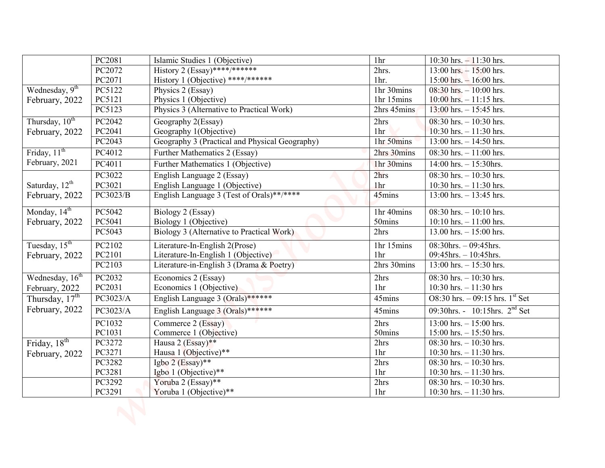|                             | PC2081           | Islamic Studies 1 (Objective)                                               | 1 <sup>hr</sup>                   | 10:30 hrs. $-11:30$ hrs.                                                                                            |
|-----------------------------|------------------|-----------------------------------------------------------------------------|-----------------------------------|---------------------------------------------------------------------------------------------------------------------|
|                             | PC2072           | History 2 $(Essay)$ ****/*******                                            | 2hrs.                             | $13:00$ hrs. $-15:00$ hrs.                                                                                          |
|                             | PC2071           | History 1 (Objective) ****/******                                           | $1hr$ .                           | $15:00$ hrs. $-16:00$ hrs.                                                                                          |
| Wednesday, $9th$            | PC5122           | Physics 2 (Essay)                                                           | 1hr 30mins                        | $08:30$ hrs. $-10:00$ hrs.                                                                                          |
| February, 2022              | PC5121           | Physics 1 (Objective)                                                       | 1hr 15mins                        | $10:00$ hrs. $-11:15$ hrs.                                                                                          |
|                             | PC5123           | Physics 3 (Alternative to Practical Work)                                   | 2hrs 45mins                       | $13:00$ hrs. $- 15:45$ hrs.                                                                                         |
| Thursday, $10^{th}$         | PC2042<br>PC2041 | Geography 2(Essay)                                                          | 2hrs<br>1hr                       | $08:30$ hrs. $-10:30$ hrs.                                                                                          |
| February, 2022              | PC2043           | Geography 1(Objective)<br>Geography 3 (Practical and Physical Geography)    | 1hr 50mins                        | 10:30 hrs. $-11:30$ hrs.<br>$13:00$ hrs. $-14:50$ hrs.                                                              |
| Friday, $11^{th}$           | PC4012           | Further Mathematics 2 (Essay)                                               | 2hrs 30mins                       | $08:30$ hrs. $-11:00$ hrs.                                                                                          |
| February, 2021              | PC4011           |                                                                             |                                   |                                                                                                                     |
|                             |                  | Further Mathematics 1 (Objective)                                           | 1hr 30mins                        | $14:00$ hrs. $- 15:30$ hrs.                                                                                         |
| Saturday, 12 <sup>th</sup>  | PC3022<br>PC3021 | English Language 2 (Essay)                                                  | 2 <sub>hrs</sub><br>1hr           |                                                                                                                     |
| February, 2022              | PC3023/B         | English Language 1 (Objective)<br>English Language 3 (Test of Orals)**/**** | 45mins                            |                                                                                                                     |
|                             |                  |                                                                             |                                   |                                                                                                                     |
| Monday, 14 <sup>th</sup>    | PC5042           | Biology 2 (Essay)                                                           | $1hr$ 40mins                      | $08:30$ hrs. $-10:10$ hrs.                                                                                          |
| February, 2022              | PC5041           | Biology 1 (Objective)                                                       | 50mins                            | $10:10$ hrs. $-11:00$ hrs.                                                                                          |
|                             | PC5043           | Biology 3 (Alternative to Practical Work)                                   | 2hrs<br>13.00 hrs. $- 15:00$ hrs. |                                                                                                                     |
| Tuesday, $15^{\text{th}}$   | PC2102           | Literature-In-English 2(Prose)                                              | 1hr 15mins                        | $08:30$ hrs. $-10:30$ hrs.<br>10:30 hrs. $- 11:30$ hrs.<br>$13:00$ hrs. $-13:45$ hrs.<br>$08:30$ hrs. $-09:45$ hrs. |
| February, 2022              | PC2101           | Literature-In-English 1 (Objective)                                         | 1 <sub>hr</sub>                   | $09:45$ hrs. $-10:45$ hrs.                                                                                          |
|                             | PC2103           | Literature-in-English 3 (Drama & Poetry)                                    | 2hrs 30mins                       | $13:00$ hrs. $- 15:30$ hrs.                                                                                         |
| Wednesday, 16 <sup>th</sup> | PC2032           | Economics 2 (Essay)                                                         | 2hrs                              | $08:30$ hrs. $-10:30$ hrs.                                                                                          |
| February, 2022              | PC2031           | Economics 1 (Objective)                                                     | 1 <sup>hr</sup>                   | 10:30 hrs. $-11:30$ hrs                                                                                             |
| Thursday, $17^{\text{th}}$  | PC3023/A         | English Language 3 (Orals)******                                            | 45mins                            | $O8:30$ hrs. $-09:15$ hrs. $1st$ Set                                                                                |
| February, 2022              | PC3023/A         | English Language 3 (Orals)******                                            | 45mins                            | 09:30hrs. - 10:15hrs. $2nd$ Set                                                                                     |
|                             | PC1032           | Commerce 2 (Essay)                                                          | 2hrs                              | $13:00$ hrs. $-15:00$ hrs.                                                                                          |
|                             | PC1031           | Commerce 1 (Objective)                                                      | 50mins                            | $15:00$ hrs. $- 15:50$ hrs.                                                                                         |
| Friday, 18 <sup>th</sup>    | PC3272           | Hausa 2 (Essay)**                                                           | 2hrs                              | $08:30$ hrs. $-10:30$ hrs.                                                                                          |
| February, 2022              | PC3271           | Hausa 1 (Objective)**                                                       | 1 <sup>hr</sup>                   | 10:30 hrs. $-11:30$ hrs.                                                                                            |
|                             | PC3282           | Igbo 2 (Essay)**                                                            | 2hrs                              | $08:30$ hrs. $-10:30$ hrs.                                                                                          |
|                             | PC3281           | Igbo 1 (Objective)**                                                        | 1 <sup>hr</sup>                   | 10:30 hrs. $-11:30$ hrs.                                                                                            |
|                             | PC3292           | Yoruba 2 (Essay)**                                                          | 2hrs                              | $08:30$ hrs. $-10:30$ hrs.                                                                                          |
|                             | PC3291           | Yoruba 1 (Objective)**                                                      | 1 <sub>hr</sub>                   | 10:30 hrs. $-11:30$ hrs.                                                                                            |